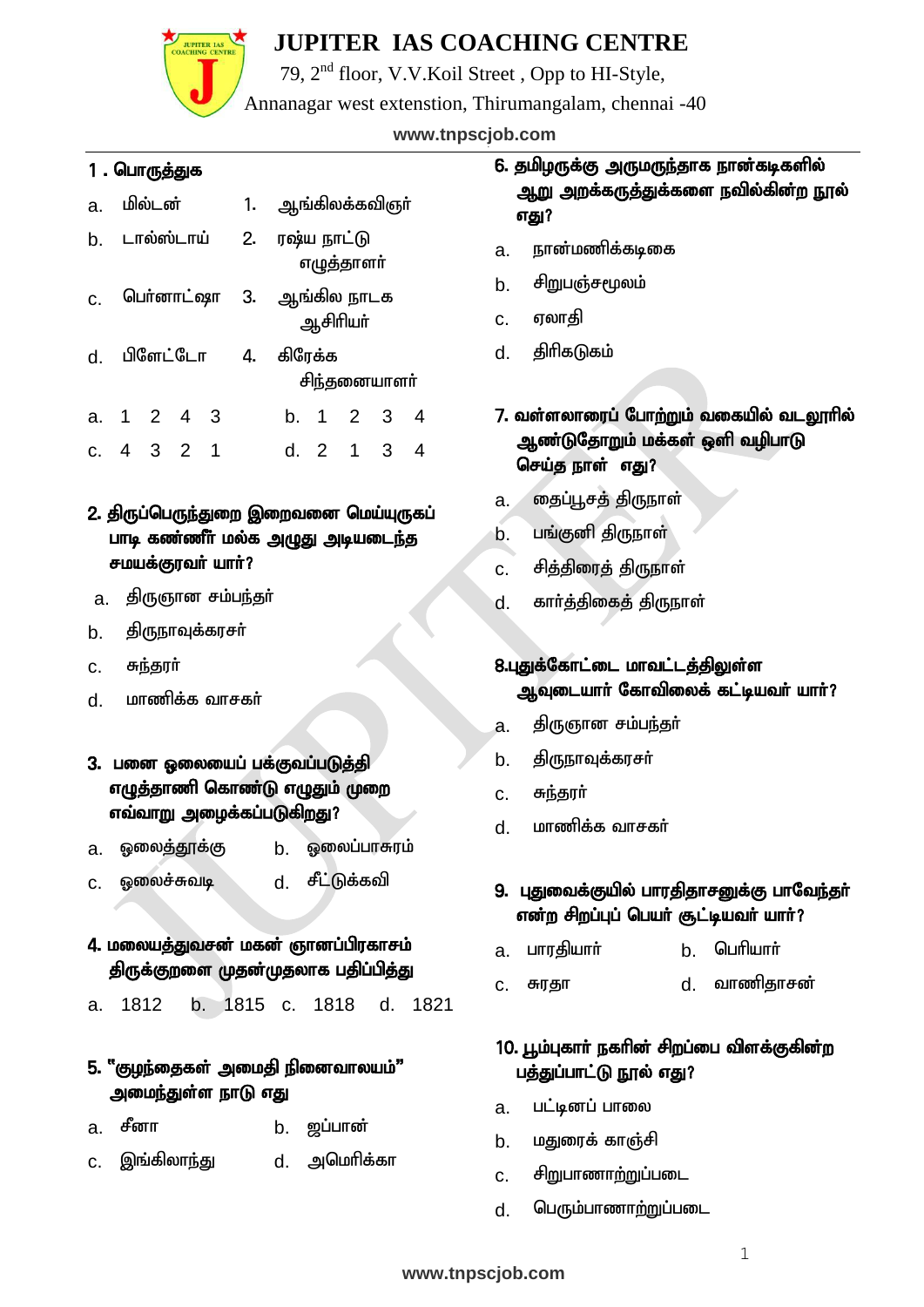

79, 2nd floor, V.V.Koil Street , Opp to HI-Style,

Annanagar west extenstion, Thirumangalam, chennai -40

### Cell: 81483 35766, 84281 76158 **www.tnpscjob.com**

#### 1 . பொருத்துக

| a. | மில்டன் |            |             | 1. | ஆங்கிலக்கவிஞா்               |            |              |   |
|----|---------|------------|-------------|----|------------------------------|------------|--------------|---|
| b. |         | டால்ஸ்டாய் |             | 2. | ரஷ்ய நாட்டு                  | எழுத்தாளர் |              |   |
|    |         |            |             |    | c. பெர்னாட்ஷா 3. ஆங்கில நாடக | ஆசிரியர்   |              |   |
| d. |         |            | பிளேட்டோ 4. |    | கிரேக்க                      |            | சிந்தனையாளர் |   |
|    |         | a. 1 2 4 3 |             |    |                              | b. 1 2     | 3            | 4 |
|    |         | c. 4 3 2 1 |             |    |                              | d. 2 1     | 3            |   |

#### 2. திருப்பெருந்துறை இறைவனை மெய்யுருகப் பாடி கண்ணீர் மல்க அழுது அடியடைந்த சமயக்குரவர் யார்?

- a. திருஞான சம்பந்தர்
- b. திருநாவுக்கரசர்
- c. சுந்தரர்
- d. மாணிக்க வாசகா்
- 3. பனை ஓலையைப் பக்குவப்படுத்தி எழுத்தாணி கொண்டு எழுதும் முறை எவ்வாறு அழைக்கப்படுகிறது?
- a. ஓலைத்தூக்கு **b. ஓலைப்பாசுர**ம்
- c. Xiyr;Rtb d. rPl;Lf;ftp
- 4. மலையத்துவசன் மகன் ஞானப்பிரகாசம் திருக்குறளை முதன்முதலாக பதிப்பித்து
- a. 1812 b. 1815 c. 1818 d. 1821

#### 5. "குழந்தைகள் அமைதி நினைவாலயம்" அமைந்துள்ள நாடு எது

- a. சீனா b. ஜப்பான்
- c. இங்கிலா<u>ந்து</u> d. அமெரிக்கா

### 6. தமிழருக்கு அருமருந்தாக நான்கடிகளில் <u>ஆறு</u> அறக்கருத்துக்களை நவில்கின்ற நூல் எது?

- a. நான்மணிக்கடிகை
- b. சிறுபஞ்சமூலம்
- c. எலாகி
- d. கிரிகடுகம்

### 7. வள்ளலாரைப் போற்றும் வகையில் வடலூரில் ஆண்டுதோறும் மக்கள் ஒளி வழிபாடு செய்த நாள் எது?

- a. <del>தைப்பூசத்</del> திருநாள்
- b. பங்குனி திருநாள்
- c. சித்திரைத் திருநாள்
- d. காா்த்திகைத் திருநாள்

#### 8.புதுக்கோட்டை மாவட்டத்திலுள்ள ஆவுடையார் கோவிலைக் கட்டியவர் யார்?

- <u>a. திருஞான சம்பந்த</u>ா்
- b. கிருநாவுக்கரசர்
- c. சுந்தரர்
- d. மாணிக்க வாசகர்

#### 9. பதுவைக்குயில் பாரதிதாசனுக்கு பாவேந்தா் என்ற சிறப்புப் பெயர் சூட்டியவர் யார்?

- a. பாரதியார் b. பெரியார்
- c. Rujh d. thzpjhrd;

### 10. பூம்புகாா் நகாின் சிறப்பை விளக்குகின்ற பத்துப்பாட்டு நூல் எது?

- a. பட்டினப் பாலை
- b. மதுரைக் காஞ்சி
- c. சிறுபாணாற்றுப்படை
- d. பெரும்பாணாற்றுப்படை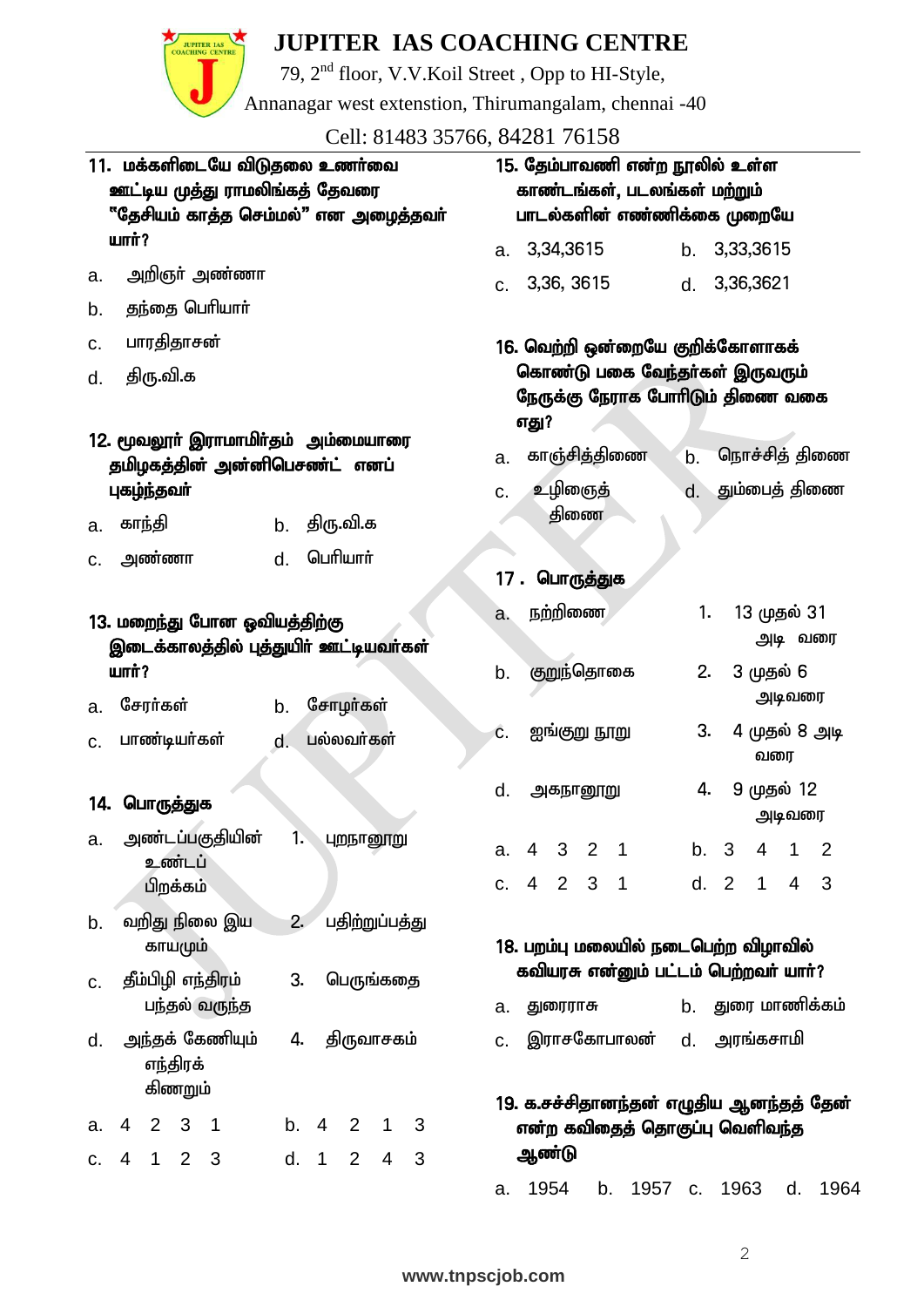**JUPITER IAS** 

79, 2nd floor, V.V.Koil Street , Opp to HI-Style,

Annanagar west extenstion, Thirumangalam, chennai -40

Cell: 81483 35766, 84281 76158

|                                                                    | 11. மக்களிடையே விடுதலை உணர்வை<br>ஊட்டிய முத்து ராமலிங்கத் தேவரை<br>"தேசியம் காத்த செம்மல்" என அழைத்தவா் |                                      | 15. தேம்பாவணி என்ற நூலில் உள்ள<br>காண்டங்கள், படலங்கள் மற்றும்<br>பாடல்களின் எண்ணிக்கை முறையே |                |  |  |  |
|--------------------------------------------------------------------|---------------------------------------------------------------------------------------------------------|--------------------------------------|-----------------------------------------------------------------------------------------------|----------------|--|--|--|
| <b>шпп்?</b>                                                       |                                                                                                         | 3,34,3615<br>a.                      | 3,33,3615<br>b.                                                                               |                |  |  |  |
| அறிஞா் அண்ணா<br>a.                                                 |                                                                                                         | 3,36, 3615<br>C.                     | 3,36,3621<br>d.                                                                               |                |  |  |  |
| தந்தை பெரியார்<br>b.                                               |                                                                                                         |                                      |                                                                                               |                |  |  |  |
| பாரதிதாசன்<br>c.                                                   |                                                                                                         | 16. வெற்றி ஒன்றையே குறிக்கோளாகக்     |                                                                                               |                |  |  |  |
| திரு.வி.க<br>d.                                                    |                                                                                                         | எது?                                 | கொண்டு பகை வேந்தா்கள் இருவரும்<br>நேருக்கு நேராக போரிடும் திணை வகை                            |                |  |  |  |
|                                                                    | 12. மூவலூா் இராமாமிா்தம் அம்மையாரை<br>தமிழகத்தின் அன்னிபெசண்ட் எனப்                                     | காஞ்சித்திணை<br>a.                   | நொச்சித் திணை<br>b.                                                                           |                |  |  |  |
| புகழ்ந்தவா்                                                        |                                                                                                         | உழிஞைத்<br>C.                        | தும்பைத் திணை<br>d.                                                                           |                |  |  |  |
| காந்தி<br>a.                                                       | திரு.வி.க<br>b.                                                                                         | திணை                                 |                                                                                               |                |  |  |  |
| அண்ணா<br>c.                                                        | பெரியார்<br>d.                                                                                          |                                      |                                                                                               |                |  |  |  |
|                                                                    |                                                                                                         | பொருத்துக<br>17.                     |                                                                                               |                |  |  |  |
| 13. மறைந்து போன ஓவியத்திற்கு                                       |                                                                                                         | நற்றிணை<br>a.                        | 1.<br>13 முதல் 31                                                                             |                |  |  |  |
|                                                                    | இடைக்காலத்தில் புத்துயிர் ஊட்டியவர்கள்                                                                  |                                      | அடி வரை                                                                                       |                |  |  |  |
| <b>шпп்?</b>                                                       |                                                                                                         | குறுந்தொகை<br>b.                     | 2.<br>3 முதல் 6<br>அடிவரை                                                                     |                |  |  |  |
| சேரர்கள்<br>a.                                                     | சோழர்கள்<br>b.                                                                                          | ஐங்குறு நூறு<br>Ĉ.                   | 3.<br>4 முதல் 8 அடி                                                                           |                |  |  |  |
| பாண்டியர்கள்<br>c.                                                 | பல்லவர்கள்<br>d.                                                                                        |                                      | வரை                                                                                           |                |  |  |  |
| 14. பொருத்துக                                                      |                                                                                                         | d.<br>அகநானூறு                       | 4.<br>9 முதல் 12<br>அடிவரை                                                                    |                |  |  |  |
| அண்டப்பகுதியின்<br>a.                                              | 1.<br>புறநானூறு                                                                                         | a.<br>4 3 2 1                        | $4 \quad 1$<br>b. 3                                                                           | $\overline{2}$ |  |  |  |
| உண்டப்<br>பிறக்கம்                                                 |                                                                                                         | c. 4 2 3 1                           | d. 2<br>$4 \quad 3$<br>$\mathbf{1}$                                                           |                |  |  |  |
| வறிது நிலை இய<br>b.                                                | பதிற்றுப்பத்து<br>2.                                                                                    |                                      |                                                                                               |                |  |  |  |
| காயமும்                                                            |                                                                                                         | 18. பறம்பு மலையில் நடைபெற்ற விழாவில் |                                                                                               |                |  |  |  |
| தீம்பிழி எந்திரம்<br>c.                                            | பெருங்கதை<br>3.                                                                                         |                                      | கவியரசு என்னும் பட்டம் பெற்றவர் யார்?                                                         |                |  |  |  |
| பந்தல் வருந்த                                                      |                                                                                                         | துரைராசு<br>а.                       | b. துரை மாணிக்கம்                                                                             |                |  |  |  |
| அந்தக் கேணியும்<br>d.<br>எந்திரக்                                  | திருவாசகம்<br>4.                                                                                        | இராசகோபாலன்<br>C.                    | d. அரங்கசாமி                                                                                  |                |  |  |  |
| கிணறும்                                                            |                                                                                                         |                                      | 19. க.சச்சிதானந்தன் எழுதிய ஆனந்தத் தேன்                                                       |                |  |  |  |
| 2 <sub>3</sub><br>$\overline{4}$<br>$\overline{\phantom{1}}$<br>a. | b.4<br>2<br>3<br>$\mathbf 1$                                                                            | ஆண்டு                                | என்ற கவிதைத் தொகுப்பு வெளிவந்த                                                                |                |  |  |  |
| $\overline{4}$<br>2 <sub>3</sub><br>$\overline{1}$<br>C.           | d. 1<br>2<br>$\overline{4}$<br>3                                                                        |                                      |                                                                                               |                |  |  |  |
|                                                                    |                                                                                                         | 1954<br>b.<br>a.                     | 1963<br>1957 c.<br>d.                                                                         | 1964           |  |  |  |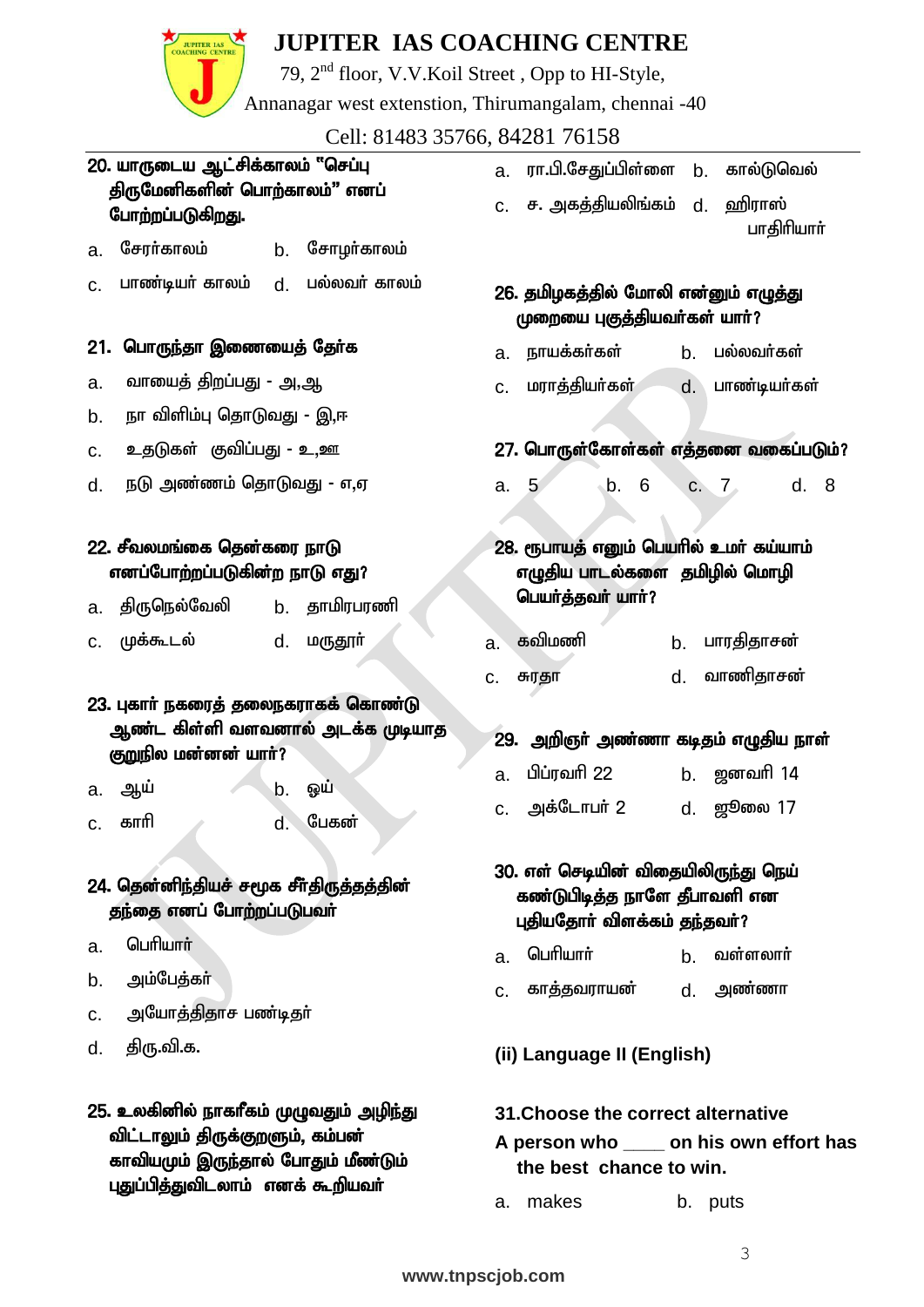ℭ

JUPITER IAS

79, 2nd floor, V.V.Koil Street , Opp to HI-Style,

Annanagar west extenstion, Thirumangalam, chennai -40

Cell: 81483 35766, 84281 76158

| 20. யாருடைய ஆட்சிக்காலம் "செப்பு<br>திருமேனிகளின் பொற்காலம்" எனப்                                                  | ரா.பி.சேதுப்பிள்ளை b.<br>கால்டுவெல்<br>a.<br>ச. அகத்தியலிங்கம் d.<br>ஹிராஸ்<br>C.                          |
|--------------------------------------------------------------------------------------------------------------------|------------------------------------------------------------------------------------------------------------|
| போற்றப்படுகிறது.                                                                                                   | பாதிரியார்                                                                                                 |
| சேரர்காலம்<br>சோழா்காலம்<br>b.<br>a.                                                                               |                                                                                                            |
| பாண்டியர் காலம்<br>பல்லவர் காலம்<br>d.<br>C.                                                                       | 26. தமிழகத்தில் மோலி என்னும் எழுத்து<br>முறையை புகுத்தியவர்கள் யார்?                                       |
| 21. பொருந்தா இணையைத் தேர்க                                                                                         | பல்லவர்கள்<br>நாயக்கர்கள்<br>b.<br>a.                                                                      |
| வாயைத் திறப்பது - அ,ஆ<br>a.                                                                                        | மராத்தியர்கள்<br>பாண்டியர்கள்<br>d.<br>C.                                                                  |
| நா விளிம்பு தொடுவது - இ,ஈ<br>b.                                                                                    |                                                                                                            |
| உதடுகள் குவிப்பது - உ <sub>,</sub> ஊ<br>c.                                                                         | 27. பொருள்கோள்கள் எத்தனை வகைப்படும்?                                                                       |
| நடு அண்ணம் தொடுவது - எ,ஏ<br>d.                                                                                     | 6<br>5 <sup>5</sup><br>$\mathbf b$ .<br>c. 7<br>d. 8<br>a.                                                 |
| 22. சீவலமங்கை தென்கரை நாடு<br>எனப்போற்றப்படுகின்ற நாடு எது?                                                        | 28. ரூபாயத் எனும் பெயரில் உமர் கய்யாம்<br>எழுதிய பாடல்களை  தமிழில் மொழி                                    |
| திருநெல்வேலி<br>b. தாமிரபரணி<br>a.                                                                                 | பெயர்த்தவர் யார்?                                                                                          |
| முக்கூடல்<br>மருதூா்<br>d.<br>C.                                                                                   | கவிமணி<br>பாரதிதாசன்<br>b.<br>a.                                                                           |
|                                                                                                                    | வாணிதாசன்<br>d.<br>சுரதா<br>C.                                                                             |
| 23. புகார் நகரைத் தலைநகராகக் கொண்டு<br>ஆண்ட கிள்ளி வளவனால் அடக்க முடியாத<br>குறுநில மன்னன் யாா்?                   | அறிஞா் அண்ணா கடிதம் எழுதிய நாள்<br>29.                                                                     |
| b.<br>ஒய்<br>ஆய்<br>a.                                                                                             | பிப்ரவரி 22<br>b. ஜனவரி 14<br>a.                                                                           |
| பேகன்<br>காரி<br>d.<br>C.                                                                                          | அக்டோபர் 2<br>d. ஜூலை 17<br>C.                                                                             |
| 24. தென்னிந்தியச் சமூக சீர்திருத்தத்தின்<br>தந்தை எனப் போற்றப்படுபவா்                                              | 30. எள் செடியின் விதையிலிருந்து நெய்<br>கண்டுபிடித்த நாளே தீபாவளி என<br>புதியதோர் விளக்கம் தந்தவர்?        |
| பெரியார்<br>a.                                                                                                     | பெரியார்<br>வள்ளலார்<br>b.<br>a.                                                                           |
| அம்பேத்கா்<br>b.                                                                                                   | d. அண்ணா<br>காத்தவராயன்<br>C.                                                                              |
| அயோத்திதாச பண்டிதா்<br>C.                                                                                          |                                                                                                            |
| திரு.வி.க.<br>d.                                                                                                   | (ii) Language II (English)                                                                                 |
| 25. உலகினில் நாகாீகம் முழுவதும் அழிந்து<br>விட்டாலும் திருக்குறளும், கம்பன்<br>காவியமும் இருந்தால் போதும் மீண்டும் | 31. Choose the correct alternative<br>A person who ______ on his own effort has<br>the best chance to win. |
| புதுப்பித்துவிடலாம் எனக் கூறியவா்                                                                                  | makes<br>b. puts<br>a.                                                                                     |



 $\frac{1}{3}$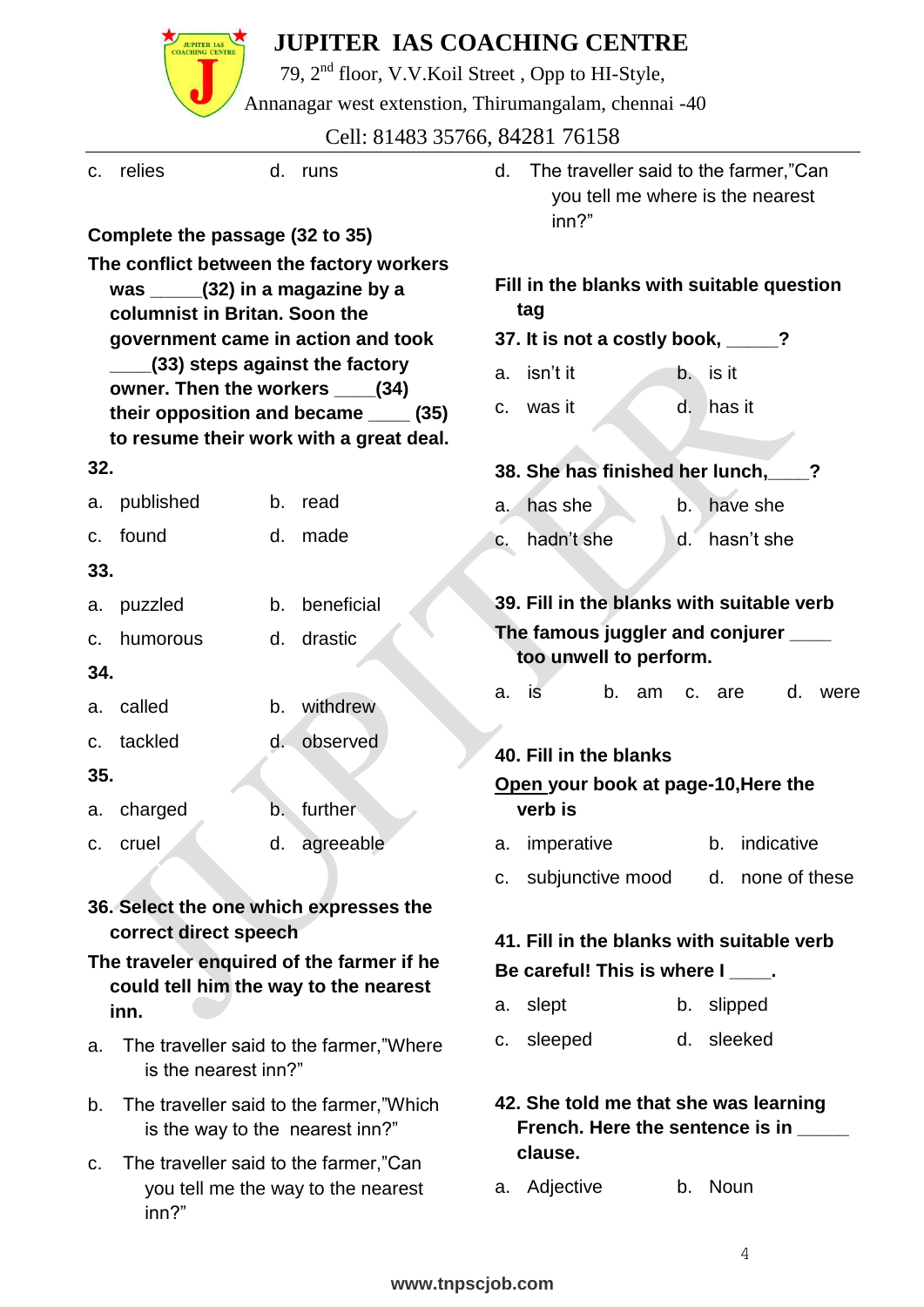|     |                                                                |    | <b>JUPITER IAS COACHING CENTRE</b>                                                |                                                  |                                                                                    |    |               |                  |    |      |
|-----|----------------------------------------------------------------|----|-----------------------------------------------------------------------------------|--------------------------------------------------|------------------------------------------------------------------------------------|----|---------------|------------------|----|------|
|     |                                                                |    | 79, 2 <sup>nd</sup> floor, V.V.Koil Street, Opp to HI-Style,                      |                                                  |                                                                                    |    |               |                  |    |      |
|     |                                                                |    | Annanagar west extenstion, Thirumangalam, chennai -40                             |                                                  |                                                                                    |    |               |                  |    |      |
|     |                                                                |    | Cell: 81483 35766, 84281 76158                                                    |                                                  |                                                                                    |    |               |                  |    |      |
| C.  | relies                                                         | d. | runs                                                                              | d.                                               | The traveller said to the farmer,"Can<br>you tell me where is the nearest<br>inn?" |    |               |                  |    |      |
|     | Complete the passage (32 to 35)                                |    |                                                                                   |                                                  |                                                                                    |    |               |                  |    |      |
|     |                                                                |    | The conflict between the factory workers                                          |                                                  |                                                                                    |    |               |                  |    |      |
|     | was $(32)$ in a magazine by a<br>columnist in Britan, Soon the |    |                                                                                   | Fill in the blanks with suitable question<br>tag |                                                                                    |    |               |                  |    |      |
|     | government came in action and took                             |    |                                                                                   |                                                  | 37. It is not a costly book, ____?                                                 |    |               |                  |    |      |
|     |                                                                |    | (33) steps against the factory                                                    | a.                                               | isn't it                                                                           |    | b. is it      |                  |    |      |
|     | owner. Then the workers _____ (34)                             |    |                                                                                   | C.                                               | was it                                                                             |    |               | d. has it        |    |      |
|     |                                                                |    | their opposition and became _____ (35)<br>to resume their work with a great deal. |                                                  |                                                                                    |    |               |                  |    |      |
| 32. |                                                                |    |                                                                                   |                                                  | 38. She has finished her lunch,                                                    |    |               |                  |    |      |
| а.  | published                                                      | b. | read                                                                              | a.                                               | has she                                                                            |    | $b^{\dagger}$ | have she         |    |      |
| c.  | found                                                          | d. | made                                                                              |                                                  |                                                                                    |    |               |                  |    |      |
| 33. |                                                                |    |                                                                                   | C.                                               | hadn't she                                                                         |    | d.            | hasn't she       |    |      |
|     |                                                                |    |                                                                                   |                                                  |                                                                                    |    |               |                  |    |      |
| a.  | puzzled                                                        | b. | beneficial                                                                        |                                                  | 39. Fill in the blanks with suitable verb                                          |    |               |                  |    |      |
| c.  | humorous                                                       | d. | drastic                                                                           |                                                  | The famous juggler and conjurer ___<br>too unwell to perform.                      |    |               |                  |    |      |
| 34. |                                                                |    |                                                                                   | a.                                               | b.<br><b>is</b>                                                                    | am | $C_{\cdot}$   | are              | d. | were |
|     | a. called                                                      | b. | withdrew                                                                          |                                                  |                                                                                    |    |               |                  |    |      |
| C.  | tackled                                                        | d. | observed                                                                          |                                                  | 40. Fill in the blanks                                                             |    |               |                  |    |      |
| 35. |                                                                |    |                                                                                   |                                                  | Open your book at page-10, Here the                                                |    |               |                  |    |      |
| а.  | charged                                                        | b. | further                                                                           |                                                  | verb is                                                                            |    |               |                  |    |      |
| c.  | cruel                                                          | d. | agreeable                                                                         | a.                                               | imperative                                                                         |    |               | b. indicative    |    |      |
|     |                                                                |    |                                                                                   | c.                                               | subjunctive mood                                                                   |    |               | d. none of these |    |      |
|     | 36. Select the one which expresses the                         |    |                                                                                   |                                                  |                                                                                    |    |               |                  |    |      |
|     | correct direct speech                                          |    |                                                                                   |                                                  | 41. Fill in the blanks with suitable verb                                          |    |               |                  |    |      |
|     | The traveler enquired of the farmer if he                      |    |                                                                                   | Be careful! This is where I ____.                |                                                                                    |    |               |                  |    |      |
|     | could tell him the way to the nearest<br>inn.                  |    |                                                                                   | a.                                               | slept                                                                              |    |               | b. slipped       |    |      |
|     |                                                                |    |                                                                                   | c.                                               | sleeped                                                                            |    |               | d. sleeked       |    |      |
| a.  | is the nearest inn?"                                           |    | The traveller said to the farmer,"Where                                           |                                                  |                                                                                    |    |               |                  |    |      |
| b.  |                                                                |    | The traveller said to the farmer,"Which                                           |                                                  | 42. She told me that she was learning                                              |    |               |                  |    |      |
|     | is the way to the nearest inn?"                                |    |                                                                                   |                                                  | French. Here the sentence is in _____                                              |    |               |                  |    |      |
| C.  | The traveller said to the farmer,"Can<br>inn?"                 |    | you tell me the way to the nearest                                                | а.                                               | clause.<br>Adjective                                                               |    |               | b. Noun          |    |      |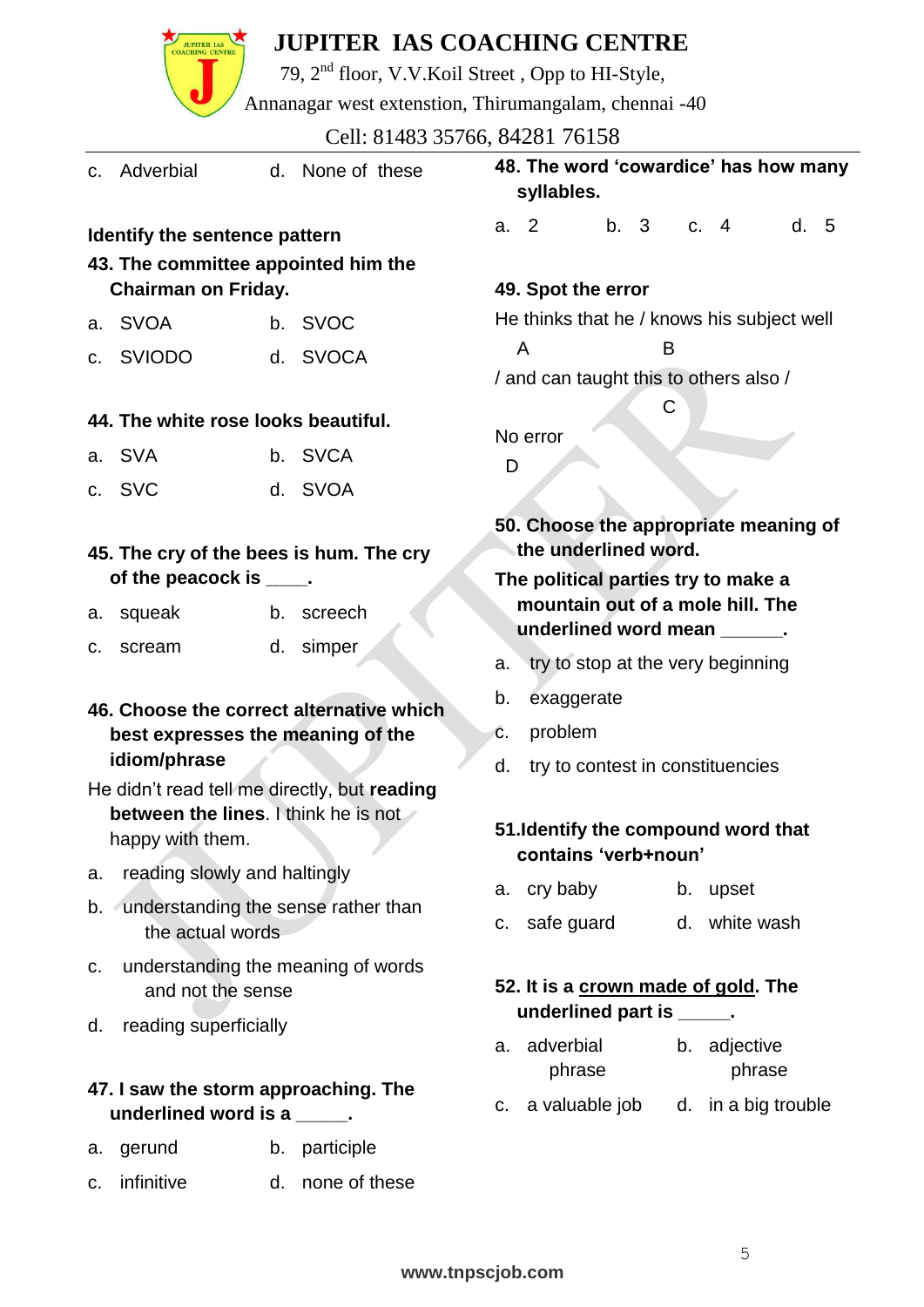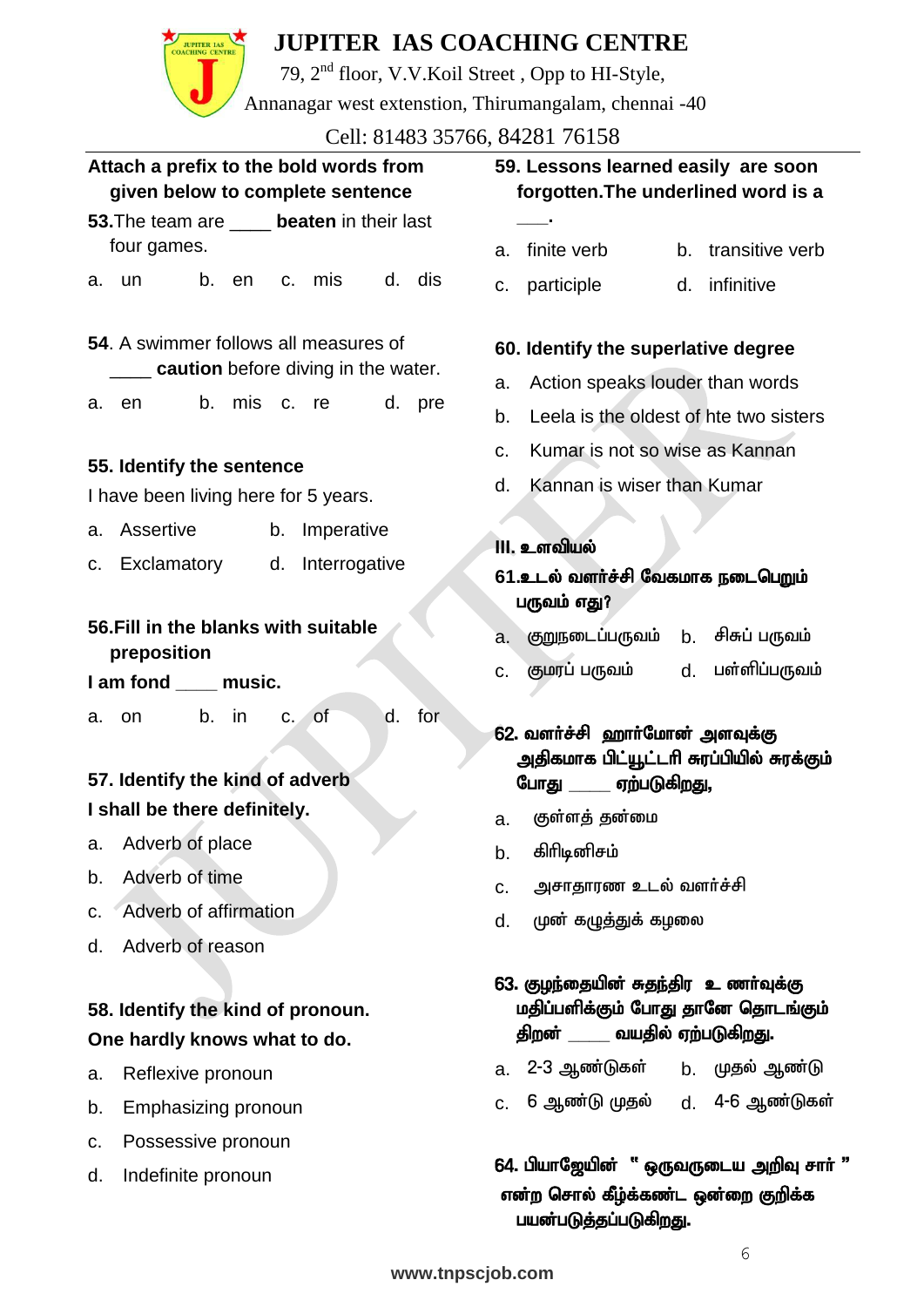79, 2nd floor, V.V.Koil Street , Opp to HI-Style, Annanagar west extenstion, Thirumangalam, chennai -40

Cell: 81483 35766, 84281 76158

|                                                                            | CEII. 01403 33700, 04201 70130                                                                                 |  |  |  |
|----------------------------------------------------------------------------|----------------------------------------------------------------------------------------------------------------|--|--|--|
| Attach a prefix to the bold words from<br>given below to complete sentence | 59. Lessons learned easily are soon<br>forgotten. The underlined word is a                                     |  |  |  |
| 53. The team are _____ beaten in their last                                |                                                                                                                |  |  |  |
| four games.                                                                | finite verb<br>b. transitive verb<br>a.                                                                        |  |  |  |
| d. dis<br>b. en<br>c. mis<br>un u<br>a.                                    | d. infinitive<br>participle<br>C.                                                                              |  |  |  |
| 54. A swimmer follows all measures of                                      | 60. Identify the superlative degree                                                                            |  |  |  |
| <b>Letter caution</b> before diving in the water.                          | Action speaks louder than words<br>a.                                                                          |  |  |  |
| b. mis<br>d.<br>c. re<br>pre<br>en<br>a.                                   | Leela is the oldest of hte two sisters<br>b.                                                                   |  |  |  |
|                                                                            | Kumar is not so wise as Kannan<br>$C_{\cdot}$                                                                  |  |  |  |
| 55. Identify the sentence<br>I have been living here for 5 years.          | Kannan is wiser than Kumar<br>d.                                                                               |  |  |  |
| a. Assertive<br>b. Imperative                                              | <b>III. உளவியல்</b>                                                                                            |  |  |  |
| Exclamatory d. Interrogative<br>C.                                         | 61.உடல் வளர்ச்சி வேகமாக நடைபெறும்<br>பருவம் எது?                                                               |  |  |  |
| 56. Fill in the blanks with suitable<br>preposition                        | குறுநடைப்பருவம் b. சிசுப் பருவம்<br>a.                                                                         |  |  |  |
| I am fond ____ music.                                                      | குமரப் பருவம்<br>பள்ளிப்பருவம்<br>d.<br>C.                                                                     |  |  |  |
| for<br>b. in<br>c. of<br>d.<br>a. on<br>57. Identify the kind of adverb    | 62. வளர்ச்சி ஹார்மோன் அளவுக்கு<br>அதிகமாக பிட்யூட்டரி சுரப்பியில் சுரக்கும்<br>போது ______ ஏற்படுகிறது,        |  |  |  |
| I shall be there definitely.                                               | குள்ளத் தன்மை<br>a.                                                                                            |  |  |  |
| Adverb of place<br>a.                                                      | கிரிடினிசம்<br>b.                                                                                              |  |  |  |
| Adverb of time<br>b.                                                       | அசாதாரண உடல் வளர்ச்சி<br>C.                                                                                    |  |  |  |
| Adverb of affirmation<br>C.                                                | முன் கழுத்துக் கழலை<br>d.                                                                                      |  |  |  |
| Adverb of reason<br>d.                                                     |                                                                                                                |  |  |  |
| 58. Identify the kind of pronoun.<br>One hardly knows what to do.          | 63. குழந்தையின் சுதந்திர உணர்வுக்கு<br>மதிப்பளிக்கும் போது தானே தொடங்கும்<br>திறன் _______ வயதில் ஏற்படுகிறது. |  |  |  |
| Reflexive pronoun<br>a.                                                    | a.  2-3 ஆண்டுகள்<br>b. முதல் ஆண்டு                                                                             |  |  |  |
| Emphasizing pronoun<br>b.                                                  | 6 ஆண்டு முதல்<br>d. 4-6 ஆண்டுகள்<br>C.                                                                         |  |  |  |
| Possessive pronoun<br>C.                                                   |                                                                                                                |  |  |  |

 $64.$  பியாஜேயின் " ஒருவருடைய அறிவு சாா் " என்ற சொல் கீழ்க்கண்ட ஒன்றை குறிக்க பயன்படுத்தப்படுகிறது.

d. Indefinite pronoun

**JUPITER IAS**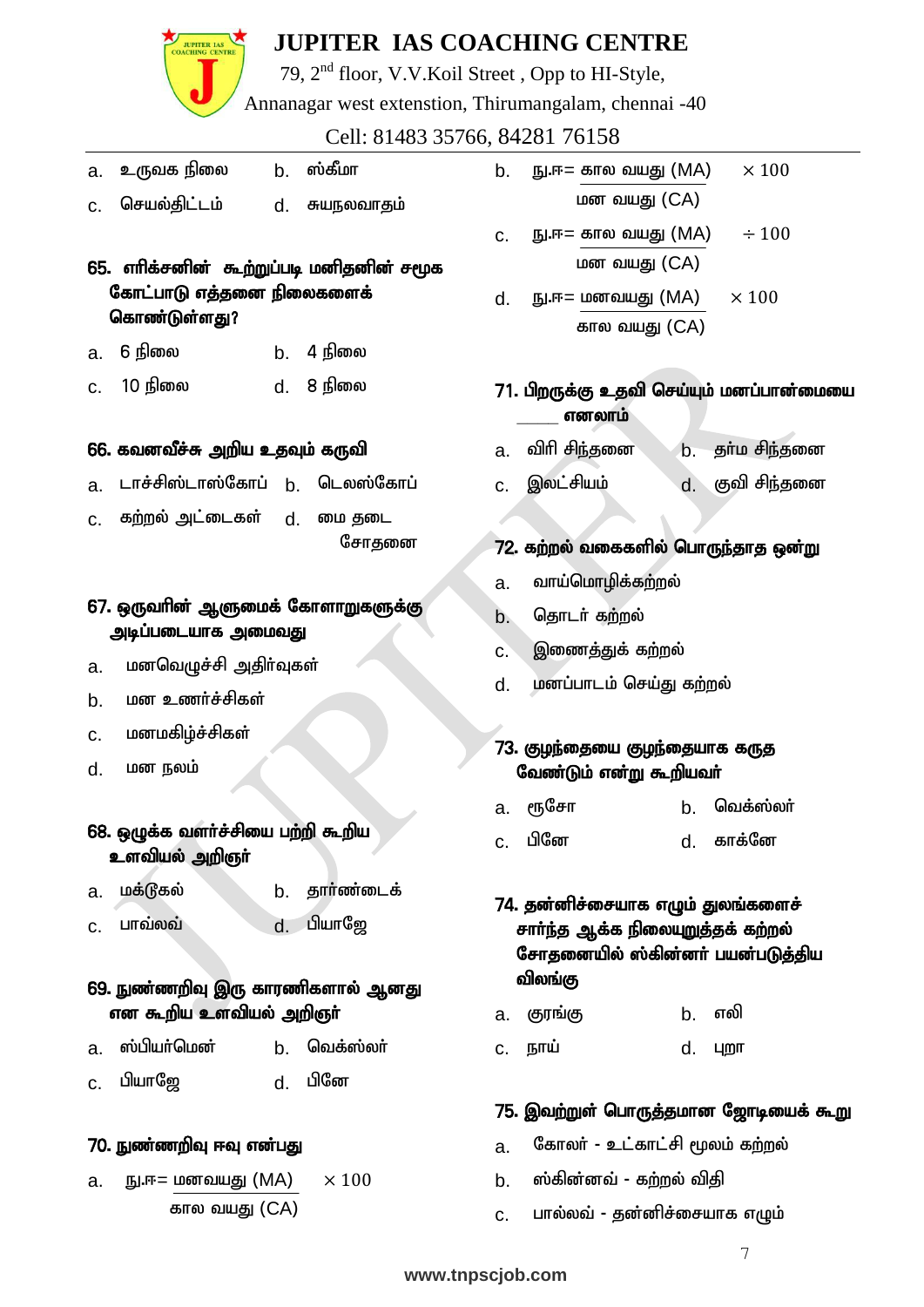

79, 2nd floor, V.V.Koil Street , Opp to HI-Style,

Annanagar west extenstion, Thirumangalam, chennai -40

Cell: 81483 35766, 84281 76158

- a. உருவக நிலை b. ஸ்கீமா
- c. செயல்திட்டம் d. சுயநலவாகும்
- $65.$  எரிக்சனின் கூற்றுப்படி மனிதனின் சமூக கோட்பாடு எத்தனை நிலைகளைக் கொண்டுள்ளது?
- $a \quad 6$  நிலை  $a \quad b \quad 4$  நிலை
- $c.$  10 நிலை  $d.$  8 நிலை

#### 66. கவனவீச்சு அறிய உதவும் கருவி

- a டாச்சிஸ்டாஸ்கோப் b. டெலஸ்கோப்
- c. கற்றல் அட்டைகள் d. மை தடை சோகனை

#### 67. ஒருவரின் ஆளுமைக் கோளாறுகளுக்கு அடிப்படையாக அமைவது

- a. மனவெழுச்சி அதிர்வுகள்
- b. மன உணர்ச்சிகள்
- c. மனமகிழ்ச்சிகள்
- d. **மன** நலம்

#### 68. ஒழுக்க வளர்ச்சியை பற்றி கூறிய உளவியல் அறிஞா்

- a. மக்டூகல் **b. தார்ண்டைக்**
- $c.$  பாவ்லவ் $d.$  பியாஜே

#### 69. நுண்ணறிவு இரு காரணிகளால் ஆனது என கூறிய உளவியல் அறிஞா்

- a. ஸ்பியர்மென் b. வெக்ஸ்லா்
- c. gpahN[ d. gpNd

#### <u>70. நுண்ணறிவு</u> ஈவு என்பது

a.  $\text{I} \cdot \text{I} \cdot \text{I} \cdot \text{I} = \text{I} \cdot \text{I} \cdot \text{I} \cdot \text{I} \cdot \text{I} \cdot \text{I} \cdot \text{I} \cdot \text{I} \cdot \text{I} \cdot \text{I} \cdot \text{I} \cdot \text{I} \cdot \text{I} \cdot \text{I} \cdot \text{I} \cdot \text{I} \cdot \text{I} \cdot \text{I} \cdot \text{I} \cdot \text{I} \cdot \text{I} \cdot \text{I} \cdot \text{I} \cdot \text{I} \cdot \text{I} \cdot \text{I} \cdot \text{I} \cdot \$ கால வயது (CA)

- b.  $\text{E} = \text{B}$  в то оли  $\text{B}$  (MA)  $\times 100$ மன வயகு $i$  (CA)
- c.  $\text{E} = \text{B}$  в по оли  $\text{E}$  (MA)  $\div 100$ மன $\omega$  வயது  $(CA)$
- $d.$  E.F. =  $\mu$  at all  $\mu$  and  $\mu$  and  $\mu$  and  $\mu$  and  $\mu$  and  $\mu$  and  $\mu$  and  $\mu$  and  $\mu$  and  $\mu$  and  $\mu$  and  $\mu$  and  $\mu$  and  $\mu$  and  $\mu$  and  $\mu$  and  $\mu$  and  $\mu$  and  $\mu$  and  $\mu$  and  $\mu$  and  $\mu$  and கால வயது (CA)

#### 71. பிறருக்கு உதவி செய்யும் மனப்பான்மையை **எனலாம்**

- a. விரி சிந்தனை நெட் தா்ம சிந்தனை
- $c_{\cdot}$  இலட்சியம்  $d_{\cdot}$  குவி சிந்தனை

#### 72. கற்றல் வகைகளில் பொருந்தாத ஒன்று

- a. வாய்மொழிக்கற்றல்
- b. தொடர் கற்றல்

J

- <u>c. இணைத்து</u>க் கற்றல்
- d. மனப்பாடம் செய்து கற்றல்

#### 73. குழந்தையை குழந்தையாக கருத வேண்டும் என்று கூறியவர்

- a. ரூசோ b. வெக்ஸ்லா்
- c. gpNd d. fhf;Nd

#### 74. தன்னிச்சையாக எழும் துலங்களைச் சார்ந்த ஆக்க நிலையுறுத்தக் கற்றல் சோதனையில் ஸ்கின்னர் பயன்படுத்திய விலங்கு

- a. குரங்கு b. எலி
- c. eha; d. Gwh

#### 75. இவற்றுள் பொருத்தமான ஜோடியைக் கூறு

- a. கோலர் உட்காட்சி மூலம் கற்றல்
- b. ஸ்கின்னவ் கற்றல் விதி
- C. பால்லவ் தன்னிச்சையாக எழும்

 $\tau$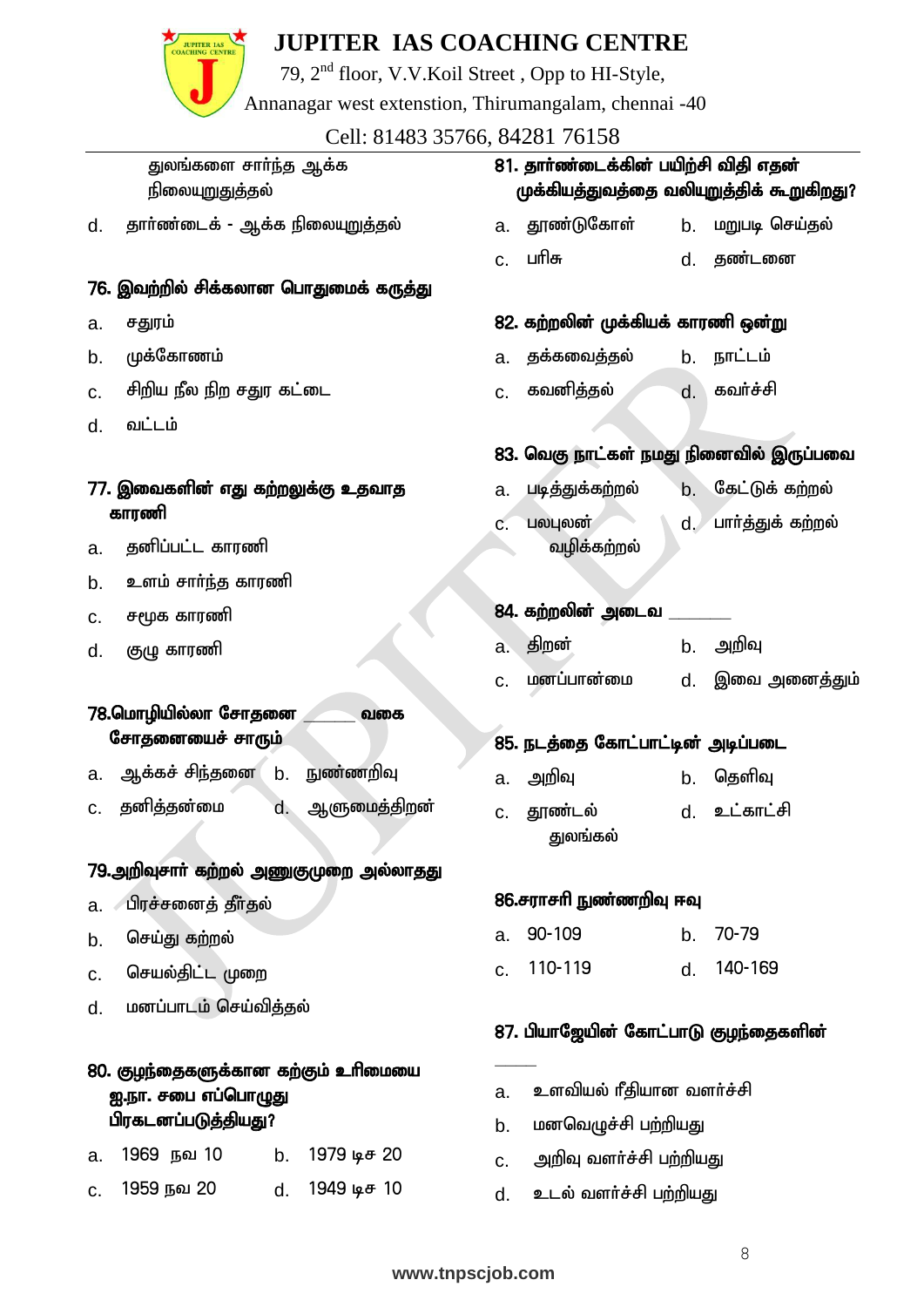

79, 2nd floor, V.V.Koil Street , Opp to HI-Style,

Annanagar west extenstion, Thirumangalam, chennai -40

Cell: 81483 35766, 84281 76158

துலங்களை சார்ந்த ஆக்க <u>நிலையுறுதுத்த</u>ல்

d. தார்ண்டைக் - ஆக்க நிலையுறுத்தல்

#### 76. இவற்றில் சிக்கலான பொதுமைக் கருத்து

- a. சதுரம்
- b. முக்கோணம்
- c. சிறிய நீல நிற சதுர கட்டை
- d. வட்டம்
- 77. இவைகளின் எது கற்றலுக்கு உதவாத காாணி
- a. தனிப்பட்ட காரணி
- b. உளம் சார்ந்த காரணி
- c. சமூக காரணி
- d. குழு காரணி

#### 78.மொழியில்லா சோகனை *, வ*கை சோதனையைச் சாரும்

- <u>a. ஆக்கச் சிந்த</u>னை <u>b. நுண்ணறிவு</u>
- <u>c. தனித்த</u>ன்மை d. ஆளுமைத்திறன்

#### 79.அறிவுசாா் கற்றல் அணுகுமுறை அல்லாதது

- a. பிரச்சனைத் தீர்தல்
- b. செய்து கற்றல்
- c. செயல்திட்ட முறை
- d. மனப்பாடம் செய்வித்தல்

#### 80. குழந்தைகளுக்கான கற்கும் உரிமையை <u>ஐ.நா. சபை எப்பொழுது</u> பிரகடனப்படுத்தியது?

| a. 1969 நவ 10 | b. 1979 ա. <del>ժ.</del> 20 |
|---------------|-----------------------------|
| c. 1959 நவ 20 | d. 1949 டிச 10              |

### 81. தார்ண்டைக்கின் பயிற்சி விதி எதன் முக்கியத்துவத்தை வலியுறுத்திக் கூறுகிறது?

- a. தூண்டுகோள் b. மறுபடி செய்தல்
- c. ghpR d. jz;lid

#### 82. கற்றலின் முக்கியக் காரணி ஒன்று

- a. தக்கவைத்தல் **b. நாட்ட**ம்
- c. கவனித்தல் , வர்ச்சி

#### 83. வெகு நாட்கள் நமது நினைவில் இருப்பவை

- a. படித்துக்கற்றல் b. கேட்டுக் கற்றல்
- c. **பலபுலன்** வழிக்கற்றல் d. பார்த்துக் கற்றல்

#### 84. கற்றலின் அடைவ

- a. திறன் b. அறிவு
- c. மனப்பான்மை d. இவை அனைக்தும்

#### 85. நடத்தை கோட்பாட்டின் அடிப்படை

- a. அறிவு b. தெளிவு
- c. தூண்டல் குமங்கல் d. உட்காட்சி

#### 86.சராசரி நுண்ணறிவு ஈவு

- a. 90-109 b. 70-79
- c. 110-119 d. 140-169

#### 87. பியாஜேயின் கோட்பாடு குழந்தைகளின்

- a. உளவியல் ரீதியான வளர்ச்சி
- b. மனவெழுச்சி பற்றியது
- c. அறிவு வளர்ச்சி பற்றியது
- d. உடல் வளர்ச்சி பற்றியது

**\_\_\_\_**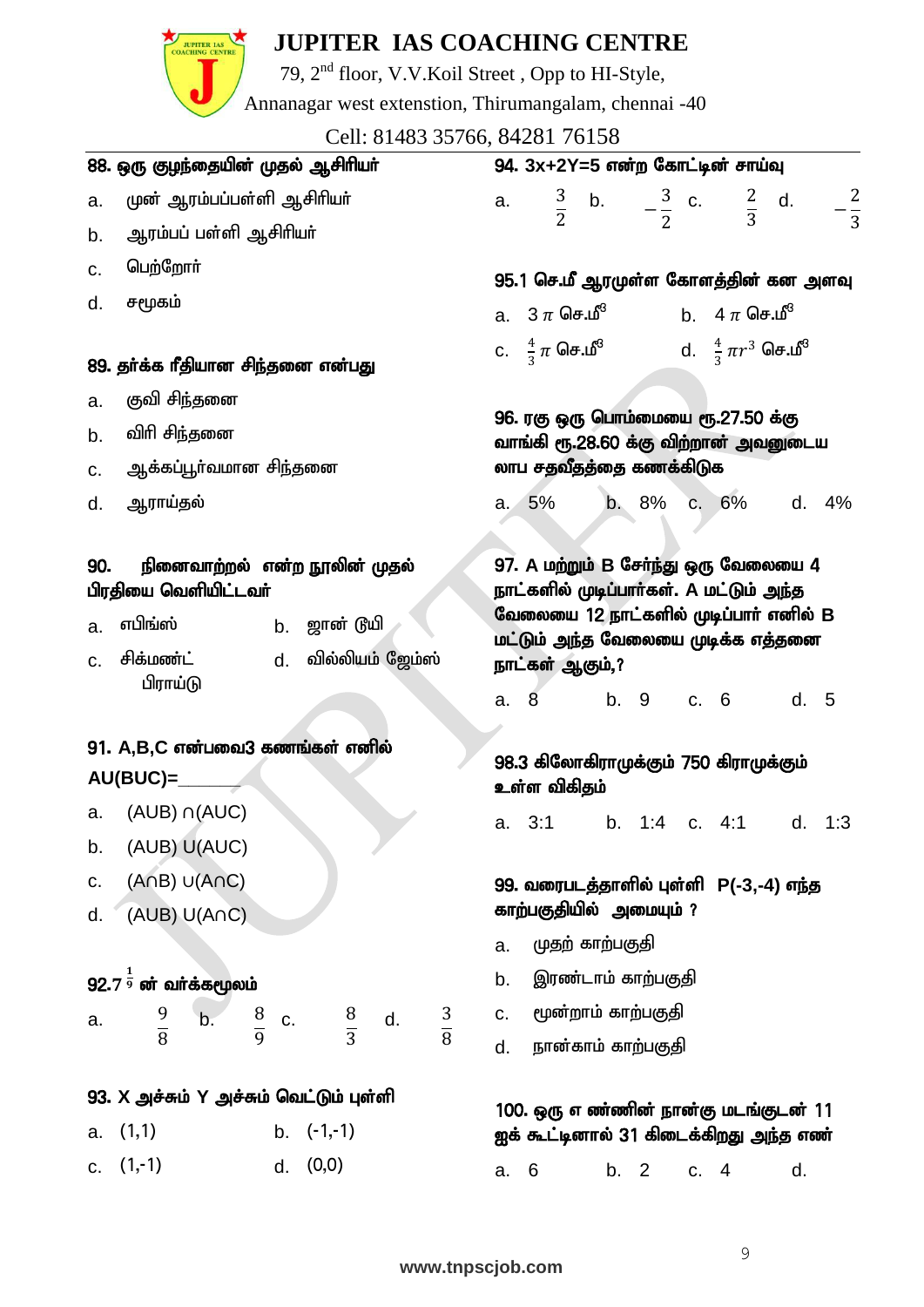

79, 2nd floor, V.V.Koil Street , Opp to HI-Style,

Annanagar west extenstion, Thirumangalam, chennai -40

Cell: 81483 35766, 84281 76158

|     | CCII. 01709 99700, 07201 70190<br>88. ஒரு குழந்தையின் முதல் ஆசிரியா்                   | 94. 3x+2Y=5 என்ற கோட்டின் சாய்வு                                                  |  |  |  |  |
|-----|----------------------------------------------------------------------------------------|-----------------------------------------------------------------------------------|--|--|--|--|
| a.  | முன் ஆரம்பப்பள்ளி ஆசிரியா்                                                             | $-\frac{2}{3}$<br>a. $\frac{3}{2}$ b. $-\frac{3}{2}$ c. $\frac{2}{3}$ d.          |  |  |  |  |
| b.  | ஆரம்பப் பள்ளி ஆசிரியர்                                                                 |                                                                                   |  |  |  |  |
| C.  | பெற்றோர்                                                                               | 95.1 செ.மீ ஆரமுள்ள கோளத்தின் கன அளவு                                              |  |  |  |  |
| d.  | சமூகம்                                                                                 | a. $3 \pi$ செ.மீ $b$ . 4 $\pi$ செ.மீ $^3$                                         |  |  |  |  |
|     | 89. தா்க்க ரீதியான சிந்தனை என்பது                                                      | c. $\frac{4}{3}\pi$ செ.மீ <sup>3</sup> d. $\frac{4}{3}\pi r^3$ செ.மீ <sup>3</sup> |  |  |  |  |
| a.  | குவி சிந்தனை                                                                           |                                                                                   |  |  |  |  |
| b.  | விரி சிந்தனை                                                                           | 96. ரகு ஒரு பொம்மையை ரூ.27.50 க்கு<br>வாங்கி ரூ.28.60 க்கு விற்றான் அவனுடைய       |  |  |  |  |
| C.  | ஆக்கப்பூா்வமான சிந்தனை                                                                 | லாப சதவீதத்தை கணக்கிடுக                                                           |  |  |  |  |
| d.  | ஆராய்தல்                                                                               | 5% b. 8% c. 6% d. 4%<br>$a^{\prime}$                                              |  |  |  |  |
| 90. | நினைவாற்றல் என்ற நூலின் முதல்<br>பிரதியை வெளியிட்டவா்                                  | 97. A மற்றும் B சேர்ந்து ஒரு வேலையை 4<br>நாட்களில் முடிப்பாா்கள். A மட்டும் அந்த  |  |  |  |  |
| a.  | b. ஜான் டூயி<br>எபிங்ஸ்                                                                | வேலையை 12 நாட்களில் முடிப்பார் எனில் B<br>மட்டும் அந்த வேலையை முடிக்க எத்தனை      |  |  |  |  |
| C.  | சிக்மண்ட்<br>d. வில்லியம் ஜேம்ஸ்                                                       | நாட்கள் ஆகும்,?                                                                   |  |  |  |  |
|     | பிராய்டு                                                                               | b. 9 c. 6<br>8<br>d. 5<br>a.                                                      |  |  |  |  |
|     | 91. A,B,C என்பவை3 கணங்கள் எனில்                                                        |                                                                                   |  |  |  |  |
|     | $AU(BUC) =$                                                                            | 98.3 கிலோகிராமுக்கும் 750 கிராமுக்கும்<br>உள்ள விகிதம்                            |  |  |  |  |
|     | a. $(AUB) \cap (AUC)$                                                                  | a. 3:1 b. 1:4 c. 4:1<br>d. 1:3                                                    |  |  |  |  |
| b.  | (AUB) U(AUC)                                                                           |                                                                                   |  |  |  |  |
| C.  | $(ADB)$ $U(ADC)$                                                                       | 99. வரைபடத்தாளில் புள்ளி P(-3,-4) எந்த                                            |  |  |  |  |
| d.  | (AUB) U(AnC)                                                                           | காற்பகுதியில் அமையும் ?                                                           |  |  |  |  |
|     |                                                                                        | முதற் காற்பகுதி<br>a.                                                             |  |  |  |  |
|     | $92.71/9$ ன் வா்க்கமூலம்                                                               | இரண்டாம் காற்பகுதி<br>b.                                                          |  |  |  |  |
| a.  | $\mathsf{b}$ .<br>$\frac{8}{9}$<br>$\frac{9}{8}$<br>c. $\frac{8}{3}$ d.<br>$rac{3}{8}$ | மூன்றாம் காற்பகுதி<br>C.                                                          |  |  |  |  |
|     |                                                                                        | நான்காம் காற்பகுதி<br>d.                                                          |  |  |  |  |
|     | 93. X அச்சும் Y அச்சும் வெட்டும் புள்ளி                                                |                                                                                   |  |  |  |  |
|     | a. (1,1)<br>b. $(-1,-1)$                                                               | 100. ஒரு எண்ணின் நான்கு மடங்குடன் 11<br>ஐக் கூட்டினால் 31 கிடைக்கிறது அந்த எண்    |  |  |  |  |
|     | c. $(1,-1)$<br>d. $(0,0)$                                                              | b. 2<br>6<br>c. 4<br>d.<br>a.                                                     |  |  |  |  |
|     |                                                                                        |                                                                                   |  |  |  |  |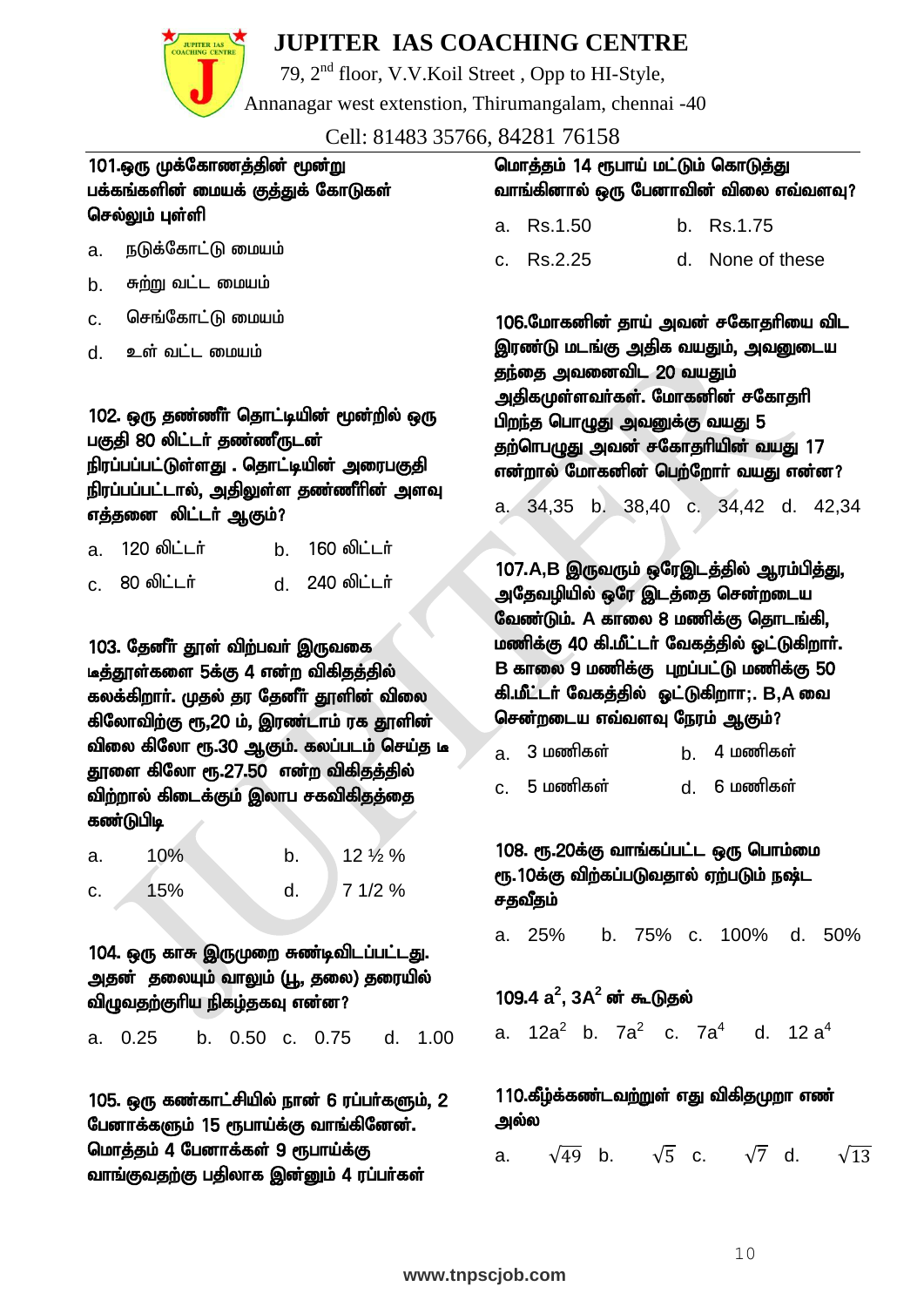

மொத்தம் 4 பேனாக்கள் 9 ரூபாய்க்கு

வாங்குவதற்கு பதிலாக இன்னும் 4 ரப்பா்கள்

## **JUPITER IAS COACHING CENTRE**

79, 2nd floor, V.V.Koil Street , Opp to HI-Style,

Annanagar west extenstion, Thirumangalam, chennai -40

Cell: 81483 35766, 84281 76158

| 101.ஒரு முக்கோணத்தின் மூன்று<br>பக்கங்களின் மையக் குத்துக் கோடுகள்<br>செல்லும் புள்ளி                                                                                                                                                                           | மொத்தம் 14 ரூபாய் மட்டும் கொடுத்து<br>வாங்கினால் ஒரு பேனாவின் விலை எவ்வளவு?<br>Rs.1.50<br>b. Rs.1.75<br>a.                                                                                                                                                                                                                   |  |  |
|-----------------------------------------------------------------------------------------------------------------------------------------------------------------------------------------------------------------------------------------------------------------|------------------------------------------------------------------------------------------------------------------------------------------------------------------------------------------------------------------------------------------------------------------------------------------------------------------------------|--|--|
| நடுக்கோட்டு மையம்<br>a.                                                                                                                                                                                                                                         | Rs.2.25<br>d. None of these<br>C.                                                                                                                                                                                                                                                                                            |  |  |
| சுற்று வட்ட மையம்<br>b.                                                                                                                                                                                                                                         |                                                                                                                                                                                                                                                                                                                              |  |  |
| செங்கோட்டு மையம்<br>C.                                                                                                                                                                                                                                          | 106.மோகனின் தாய் அவன் சகோதரியை விட                                                                                                                                                                                                                                                                                           |  |  |
| உள் வட்ட மையம்<br>d.                                                                                                                                                                                                                                            | இரண்டு மடங்கு அதிக வயதும், அவனுடைய<br>தந்தை அவனைவிட 20 வயதும்                                                                                                                                                                                                                                                                |  |  |
| 102. ஒரு தண்ணீா் தொட்டியின் மூன்றில் ஒரு<br>பகுதி 80 லிட்டர் தண்ணீருடன்<br>நிரப்பப்பட்டுள்ளது . தொட்டியின் அரைபகுதி<br>நிரப்பப்பட்டால், அதிலுள்ள தண்ணீரின் அளவு<br>எத்தனை லிட்டா் ஆகும்?                                                                        | அதிகமுள்ளவா்கள். மோகனின் சகோதாி<br>பிறந்த பொழுது அவனுக்கு வயது 5<br>தற்ொபழுது அவன் சகோதரியின் வயது 17<br>என்றால் மோகனின் பெற்றோர் வயது என்ன?<br>b. 38,40 c. 34,42 d. 42,34<br>a. 34,35                                                                                                                                       |  |  |
| 120 லிட்டர்<br>160 லிட்டர்<br>b <sub>1</sub><br>a.                                                                                                                                                                                                              |                                                                                                                                                                                                                                                                                                                              |  |  |
| 80 லிட்டர்<br>240 லிட்டர்<br>d.<br>C <sub>1</sub><br>103. தேனீர் தூள் விற்பவர் இருவகை<br>டீத்தூள்களை 5க்கு 4 என்ற விகிதத்தில்<br>கலக்கிறாா். முதல் தர தேனீா் தூளின் விலை<br>கிலோவிற்கு ரூ,20 ம், இரண்டாம் ரக தூளின்<br>விலை கிலோ ரூ.30 ஆகும். கலப்படம் செய்த டீ | 107.A,B இருவரும் ஒரேஇடத்தில் ஆரம்பித்து,<br>அதேவழியில் ஒரே இடத்தை சென்றடைய<br>வேண்டும். A காலை 8 மணிக்கு தொடங்கி,<br>மணிக்கு 40 கி.மீட்டர் வேகத்தில் ஓட்டுகிறார்.<br>B காலை 9 மணிக்கு புறப்பட்டு மணிக்கு 50<br>கி.மீட்டர் வேகத்தில் ஒட்டுகிறாா;. B,A வை<br>சென்றடைய எவ்வளவு நேரம் ஆகும்?<br>3 மணிகள்<br>4 மணிகள்<br>b.<br>a. |  |  |
| தூளை கிலோ ரூ.27.50 என்ற விகிதத்தில்<br>விற்றால் கிடைக்கும் இலாப சகவிகிதத்தை<br>கண்டுபிடி                                                                                                                                                                        | 5 மணிகள்<br>6 மணிகள்<br>d.<br>C.                                                                                                                                                                                                                                                                                             |  |  |
| 12 1/2 %<br>10%<br>b.<br>a.<br>15%<br>d.<br>7 1/2 %<br>c.                                                                                                                                                                                                       | 108. ரூ.20க்கு வாங்கப்பட்ட ஒரு பொம்மை<br>ரூ.10க்கு விற்கப்படுவதால் ஏற்படும் நஷ்ட<br>சதவீதம்                                                                                                                                                                                                                                  |  |  |
| 104. ஒரு காசு இருமுறை சுண்டிவிடப்பட்டது.<br>அதன் தலையும் வாலும் (பூ, தலை) தரையில்<br>விழுவதற்குாிய நிகழ்தகவு என்ன?<br>b. 0.50 c. 0.75<br>a. 0.25<br>d. 1.00                                                                                                     | b. 75% c. 100%<br>d. 50%<br>a. 25%<br>$109.4 a2$ , $3A2$ ன் கூடுதல்<br>a. 12a <sup>2</sup> b. 7a <sup>2</sup> c. 7a <sup>4</sup> d. 12a <sup>4</sup>                                                                                                                                                                         |  |  |
| 105. ஒரு கண்காட்சியில் நான் 6 ரப்பா்களும், 2<br>பேனாக்களும் 15 ரூபாய்க்கு வாங்கினேன்.                                                                                                                                                                           | 110.கீழ்க்கண்டவற்றுள் எது விகிதமுறா எண்<br>அல்ல                                                                                                                                                                                                                                                                              |  |  |

a.  $\sqrt{49}$  b.  $\sqrt{5}$  c.  $\sqrt{7}$  d.  $\sqrt{13}$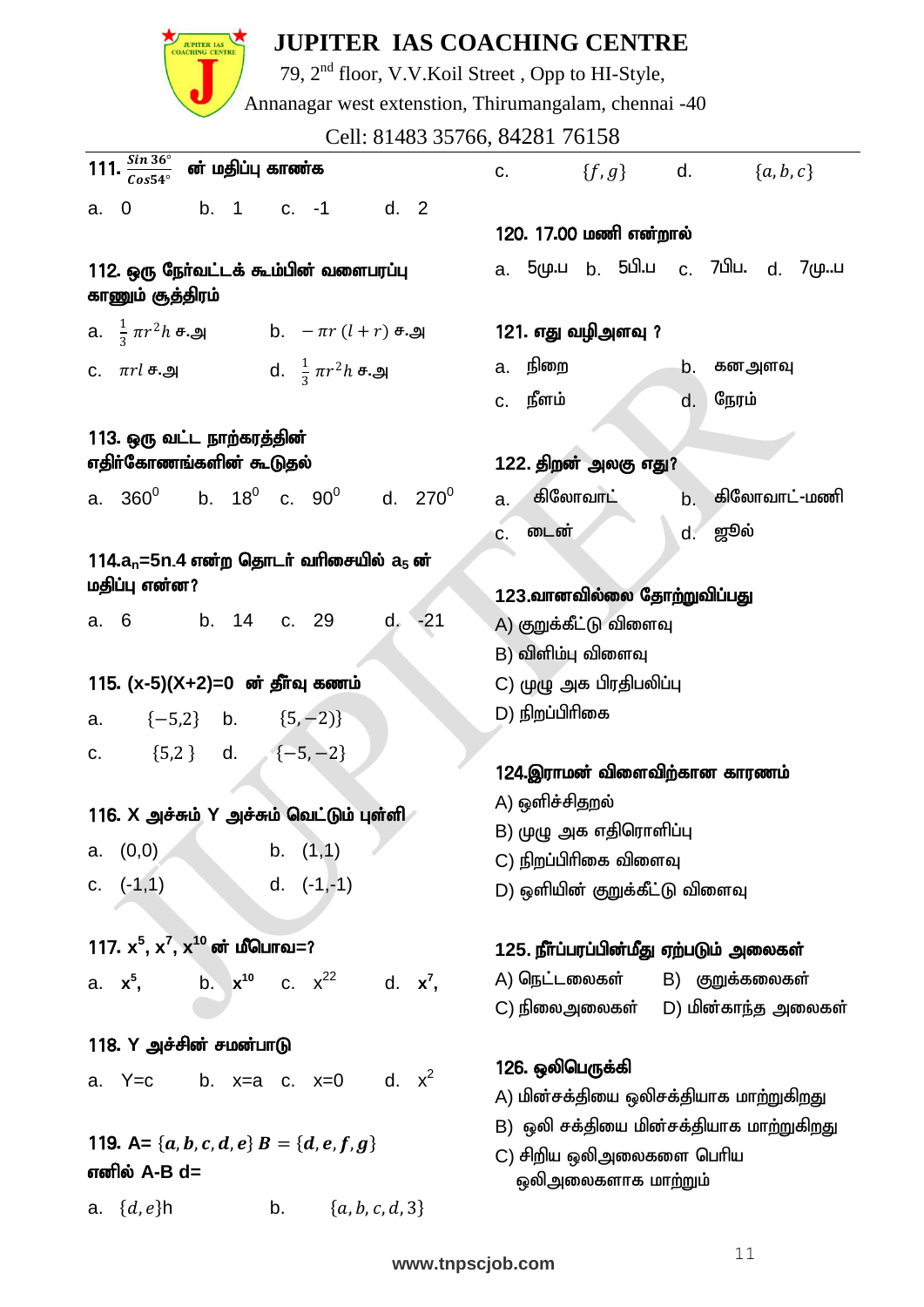

79, 2nd floor, V.V.Koil Street , Opp to HI-Style,

Annanagar west extenstion, Thirumangalam, chennai -40

Cell: 81483 35766, 84281 76158

| $\overline{111. \frac{Sin\,36^{\circ}}{Cos54^{\circ}}}$ ன் மதிப்பு காண்க | c. ${f, g}$ d. ${a, b, c}$                              |
|--------------------------------------------------------------------------|---------------------------------------------------------|
| a. 0 b. 1 c. -1 d. 2                                                     |                                                         |
|                                                                          | 120. 17.00 மணி என்றால்                                  |
| 112. ஒரு நேர்வட்டக் கூம்பின் வளைபரப்பு<br>காணும் சூத்திரம்               | a. 5மு.ப b. 5பி.ப c. 7பிப. d. 7முப                      |
| a. $\frac{1}{3} \pi r^2 h$ #. $\omega$ , b. $-\pi r (l+r)$ #. $\omega$   | 121. எது வழிஅளவு ?                                      |
| c. $\pi r l$ ச.அ d. $\frac{1}{3} \pi r^2 h$ ச.அ                          | a. நிறை<br>b.<br>கனஅளவு                                 |
|                                                                          | c. நீளம்<br>நேரம்<br>d.                                 |
| 113. ஒரு வட்ட நாற்கரத்தின்                                               |                                                         |
| எதிா்கோணங்களின் கூடுதல்                                                  | 122. திறன் அலகு எது?                                    |
| a. $360^0$ b. $18^0$ c. $90^0$ d. $270^0$                                | கிலோவாட்<br>கிலோவாட்-மணி<br>b.<br>a.                    |
|                                                                          | டைன்<br>d. ஜூல்<br>C.                                   |
| 114. $a_n$ =5n.4 என்ற தொடர் வரிசையில் $a_5$ ன்                           |                                                         |
| மதிப்பு என்ன?                                                            | 123.வானவில்லை தோற்றுவிப்பது                             |
| a. 6 b. 14 c. 29 d. -21                                                  | A) குறுக்கீட்டு விளைவு                                  |
|                                                                          | B) விளிம்பு விளைவு                                      |
| 115. (x-5)(X+2)=0 ன் தீர்வு கணம்                                         | C) முழு அக பிரதிபலிப்பு                                 |
| a. $\{-5,2\}$ b. $\{5,-2\}$                                              | D) நிறப்பிரிகை                                          |
| c. ${5,2}$ d. ${-5,-2}$                                                  |                                                         |
|                                                                          | 124.இராமன் விளைவிற்கான காரணம்                           |
| 116. X அச்சும் Y அச்சும் வெட்டும் புள்ளி                                 | A) ஒளிச்சிதறல்                                          |
| b. $(1,1)$<br>(0,0)<br>a.                                                | B) முழு அக எதிரொளிப்பு                                  |
| d. $(-1,-1)$<br>c. $(-1,1)$                                              | C) நிறப்பிரிகை விளைவு<br>D) ஒளியின் குறுக்கீட்டு விளைவு |
|                                                                          |                                                         |
| 117. $x^5$ , $x^7$ , $x^{10}$ வர் மீபொவ=?                                | 125. நீா்ப்பரப்பின்மீது ஏற்படும் அலைகள்                 |
| b. $x^{10}$ c. $x^{22}$ d. $x^7$ ,<br>a. x <sup>5</sup> ,                | A) நெட்டலைகள்<br>B) குறுக்கலைகள்                        |
|                                                                          | D) மின்காந்த அலைகள்<br>C) நிலைஅலைகள்                    |
| 118. Y அச்சின் சமன்பாடு                                                  |                                                         |
| b. $x=a$ c. $x=0$ d. $x^2$<br>a. $Y=c$                                   | 126. ஒலிபெருக்கி                                        |
|                                                                          | A) மின்சக்தியை ஒலிசக்தியாக மாற்றுகிறது                  |
| 119. A= { $a, b, c, d, e$ } B = { $d, e, f, g$ }                         | B) ஒலி சக்தியை மின்சக்தியாக மாற்றுகிறது                 |
| எனில் A-B d=                                                             | C) சிறிய ஒலிஅலைகளை பெரிய<br>ஒலிஅலைகளாக மாற்றும்         |
| ${a, b, c, d, 3}$<br>a. $\{d, e\}$ h<br>b.                               |                                                         |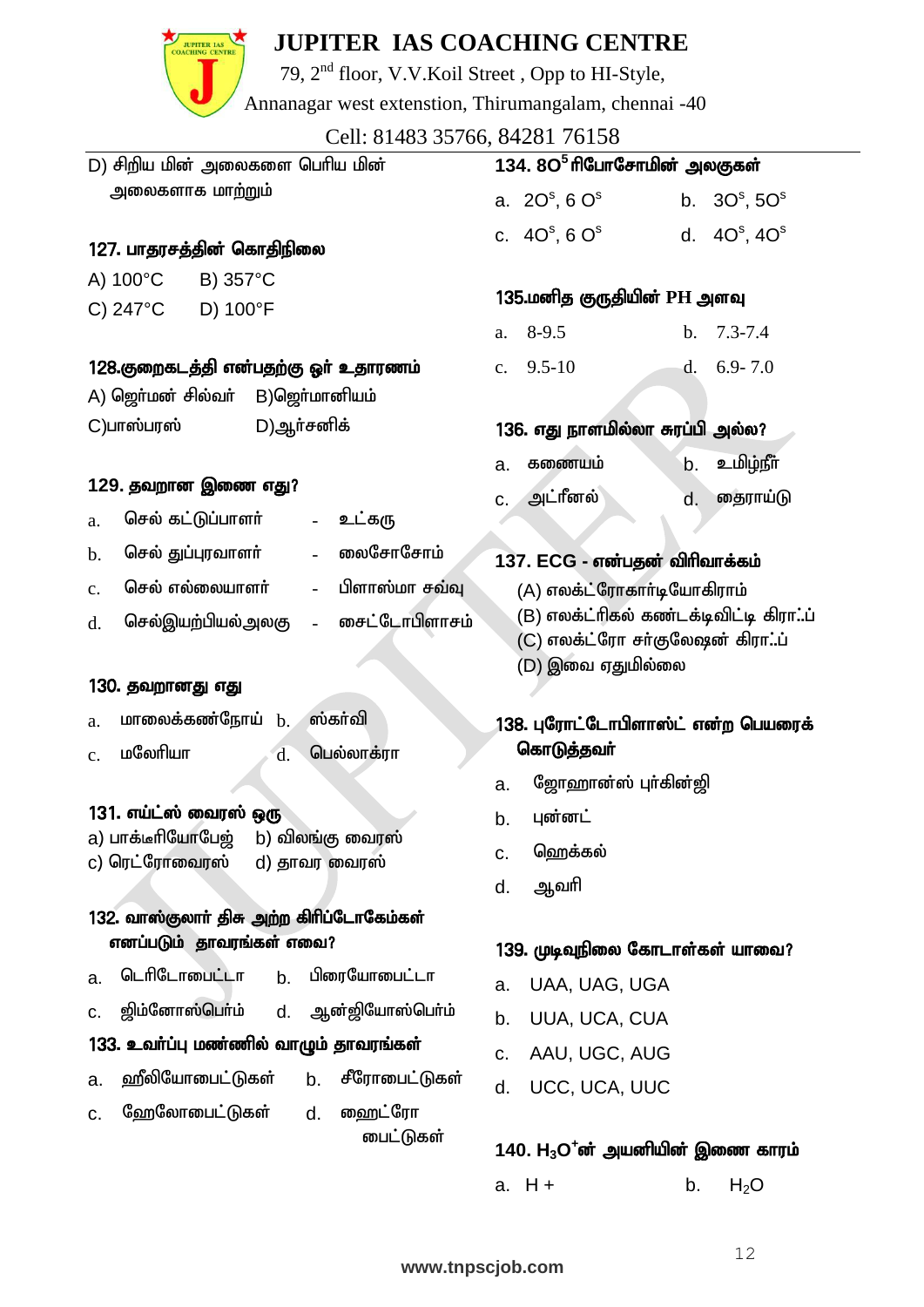

79, 2nd floor, V.V.Koil Street , Opp to HI-Style,

Annanagar west extenstion, Thirumangalam, chennai -40

| Cell: 81483 35766, 84281 76158                                        |                                                                     |  |  |  |
|-----------------------------------------------------------------------|---------------------------------------------------------------------|--|--|--|
| D) சிறிய மின் அலைகளை பெரிய மின்                                       | 134. 8O <sup>5</sup> ரிபோசோமின் அலகுகள்                             |  |  |  |
| அலைகளாக மா <u>ற்ற</u> ும்                                             | a. $2O^s$ , 6 $O^s$<br>b. $30^{\rm s}$ , $50^{\rm s}$               |  |  |  |
| 127. பாதரசத்தின் கொதிநிலை                                             | c. $40^{\circ}, 60^{\circ}$<br>d. $4O^s$ , $4O^s$                   |  |  |  |
| A) 100°C<br>B) 357°C                                                  |                                                                     |  |  |  |
| D) 100°F<br>C) $247^{\circ}$ C                                        | 135.மனித குருதியின் PH அளவு                                         |  |  |  |
|                                                                       | $8-9.5$<br>$7.3 - 7.4$<br>$\mathbf b$ .<br>a.                       |  |  |  |
| 128.குறைகடத்தி என்பதற்கு ஓா் உதாரணம்                                  | $6.9 - 7.0$<br>c. $9.5-10$<br>d.                                    |  |  |  |
| A) ஜொ்மன் சில்வா்<br>B) ஜொ்மானியம்                                    |                                                                     |  |  |  |
| C)பாஸ்பரஸ்<br>D)ஆர்சனிக்                                              | 136. எது நாளமில்லா சுரப்பி அல்ல?                                    |  |  |  |
|                                                                       | <u>உமிழ்நீா்</u><br>கணையம்<br>b.<br>a.                              |  |  |  |
| 129. தவறான இணை எது?                                                   | அட்ரீனல்<br>தைராய்டு<br>d.<br>C.                                    |  |  |  |
| செல் கட்டுப்பாளர்<br>உட்கரு<br>$\blacksquare$<br>a.                   |                                                                     |  |  |  |
| லைசோசோ <b>ம்</b><br>செல் துப்புரவாளர்<br>$\mathbf b$ .                | 137. ECG - என்பதன் விரிவாக்கம்                                      |  |  |  |
| பிளாஸ்மா சவ்வு<br>செல் எல்லையாளர்<br>$\Box$<br>$\mathbf{c}$ .         | (A) எலக்ட்ரோகாா்டியோகிராம்<br>(B) எலக்ட்ரிகல் கண்டக்டிவிட்டி கிராப் |  |  |  |
| சைட்டோபிளாசம்<br>செல்இயற்பியல்அலகு<br>$\mathbf{L}$<br>d.              |                                                                     |  |  |  |
|                                                                       | (C) எலக்ட்ரோ சா்குலேஷன் கிராப்                                      |  |  |  |
| 130. தவறானது எது                                                      | (D) இவை ஏதுமில்லை                                                   |  |  |  |
| மாலைக்கண்நோய் <b>b</b> .<br>ஸ்கா்வி<br>a.                             | 138. புரோட்டோபிளாஸ்ட் என்ற பெயரைக்                                  |  |  |  |
| மலேரியா<br>பெல்லாக்ரா<br>d.                                           | கொடுத்தவா்                                                          |  |  |  |
| c.                                                                    | ஜோஹான்ஸ் புா்கின்ஜி<br>a.                                           |  |  |  |
| 131. எய்ட்ஸ் வைரஸ் ஒரு                                                | புன்னட்<br>b.                                                       |  |  |  |
| a) பாக்டீரியோபே <u>ஜ்</u><br>b) விலங்கு வைரஸ்                         | ஹெக்கல்                                                             |  |  |  |
| c) ரெட்ரோவைரஸ்<br>d) தாவர வைரஸ்                                       | c.                                                                  |  |  |  |
|                                                                       | ஆவரி<br>d.                                                          |  |  |  |
| 132. வாஸ்குலாா் திசு அற்ற கிரிப்டோகேம்கள்<br>எனப்படும் தாவரங்கள் எவை? |                                                                     |  |  |  |
|                                                                       | 139. முடிவுநிலை கோடாள்கள் யாவை?                                     |  |  |  |
| டெரிடோபைட்டா<br>பிரையோபைட்டா<br>b.<br>a.                              | UAA, UAG, UGA<br>a.                                                 |  |  |  |
| ஜிம்னோஸ்பொ்ம்<br>ஆன்ஜியோஸ்பொ்ம்<br>d.<br>c.                           | UUA, UCA, CUA<br>b.                                                 |  |  |  |
| 133. உவா்ப்பு மண்ணில் வாழும் தாவரங்கள்                                | AAU, UGC, AUG<br>C.                                                 |  |  |  |
| ஹீலியோபைட்டுகள்<br>சீரோபைட்டுகள்<br>b.<br>a.                          | UCC, UCA, UUC<br>d.                                                 |  |  |  |
| ஹேலோபைட்டுகள்<br>ஹைட்ரோ<br>d.<br>c.                                   |                                                                     |  |  |  |
| <b>பைட்டுகள்</b>                                                      | 140. $H_3O^+$ ன் அயனியின் இணை காரம்                                 |  |  |  |

## a.  $H +$  b.  $H_2O$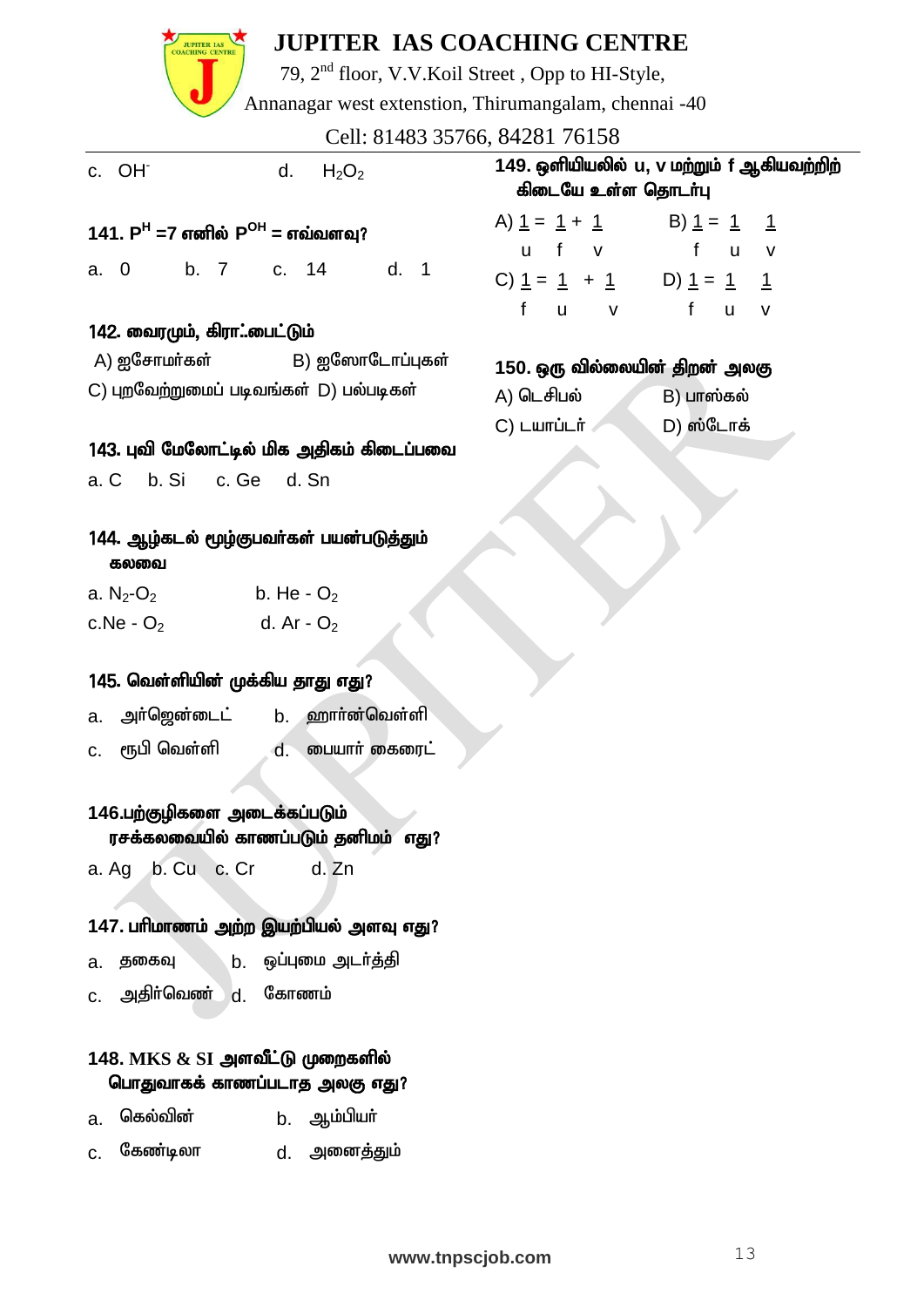| <b>JUPITER IAS</b>                                      | <b>JUPITER IAS COACHING CENTRE</b><br>79, 2 <sup>nd</sup> floor, V.V.Koil Street, Opp to HI-Style, |                                                   |             |
|---------------------------------------------------------|----------------------------------------------------------------------------------------------------|---------------------------------------------------|-------------|
|                                                         | Annanagar west extenstion, Thirumangalam, chennai -40                                              |                                                   |             |
|                                                         |                                                                                                    | Cell: 81483 35766, 84281 76158                    |             |
| c. OH <sup>-</sup>                                      | $H_2O_2$<br>d.                                                                                     | 149. ஒளியியலில் ப, v மற்று<br>கிடையே உள்ள தொடர்பு |             |
| 141. P <sup>H</sup> =7 எனில் P <sup>OH</sup> = எவ்வளவு? |                                                                                                    | A) $1 = 1 + 1$ B) 1                               |             |
|                                                         |                                                                                                    | u f v f                                           |             |
|                                                         | a. 0 b. 7 c. 14 d. 1                                                                               | C) $1 = 1 + 1$ D) $1 = 1$                         |             |
|                                                         |                                                                                                    | f u v                                             | f           |
| 142. வைரமும், கிரா்பைட்டும்                             |                                                                                                    |                                                   |             |
|                                                         | A) ஐசோமர்கள்               B) ஐஸோடோப்புகள்                                                         | 150. ஒரு வில்லையின் திறன                          |             |
|                                                         | C) புறவேற்றுமைப் படிவங்கள் D) பல்படிகள்                                                            | A) டெசிபல்                                        | $B)$ $L$ me |
|                                                         |                                                                                                    | $C)$ Lumin $\mathfrak{m}$                         | D) ஸ்       |
|                                                         | 143. புவி மேலோட்டில் மிக அதிகம் கிடைப்பவை                                                          |                                                   |             |
| a. C b. Si c. Ge d. Sn                                  |                                                                                                    |                                                   |             |
| கலவை                                                    | 144. ஆழ்கடல் மூழ்குபவர்கள் பயன்படுத்தும்                                                           |                                                   |             |
| a. N <sub>2</sub> -O <sub>2</sub>                       | b. He - $O_2$                                                                                      |                                                   |             |
| c.Ne - $O_2$                                            | d. Ar - $O_2$                                                                                      |                                                   |             |
| 145. வெள்ளியின் முக்கிய தாது எது?                       |                                                                                                    |                                                   |             |
| அர்ஜென்டைட்<br>a.                                       | ஹார்ன்வெள்ளி<br>b <sub>1</sub>                                                                     |                                                   |             |
| ரூபி வெள்ளி<br>c.                                       | ையார் கைரைட்<br>d.                                                                                 |                                                   |             |
| 146.பற்குழிகளை அடைக்கப்படும்                            | rogaeth rrogiu Ois rofuai                                                                          |                                                   |             |

#### 146.பற்குழிகளை அடைக்கப்படும் **`** ரசக்கலவையில் காணப்படும் தனிமம் எது?

a. Ag b. Cu c. Cr d. Zn

#### 147. பரிமாணம் அற்ற இயற்பியல் அளவு எது?

- a. தகைவு b. ஒப்புமை அடர்த்தி
- $c.$  அதிா்வெண்  $d.$  கோணம்

## 148. MKS & SI அளவீட்டு முறைகளில் பொதுவாகக் காணப்படாத அலகு எது?

- a. கெல்வின் b. ஆம்பியா்
- c. கேண்டிலா d. அனைத்தும்

#### **www.tnpscjob.com** 13

| 149. ஒளியியலில் ப, v மற்றும் f ஆகியவற்றிற் |  |
|--------------------------------------------|--|
| கிடையே உள்ள தொடர்பு                        |  |

| A) $1 = 1 + 1$ | B) $1 = 1$ 1 |  |
|----------------|--------------|--|
| u f v          | f u v        |  |
| C) $1 = 1 + 1$ | D) $1 = 1$ 1 |  |
| f u v          | f u v        |  |

### iO. ஒரு வில்லையி<del>ன்</del> திறன் அலகு

| A) டெசிபல்  | B) பாஸ்கல் |  |  |  |  |
|-------------|------------|--|--|--|--|
| C) டயாப்டர் | D) ஸ்டோக்  |  |  |  |  |